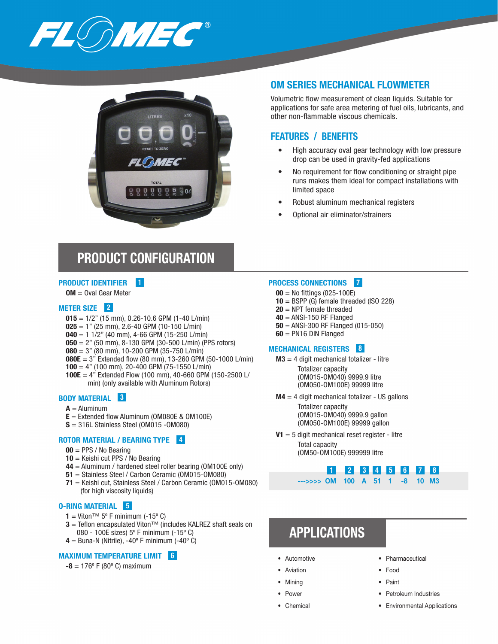



### OM SERIES MECHANICAL FLOWMETER

Volumetric flow measurement of clean liquids. Suitable for applications for safe area metering of fuel oils, lubricants, and other non-flammable viscous chemicals.

### FEATURES / BENEFITS

- High accuracy oval gear technology with low pressure drop can be used in gravity-fed applications
- No requirement for flow conditioning or straight pipe runs makes them ideal for compact installations with limited space
- Robust aluminum mechanical registers
- Optional air eliminator/strainers

# PRODUCT CONFIGURATION

#### PRODUCT IDENTIFIER 1

OM = Oval Gear Meter

#### METER SIZE<sup>2</sup>

- $015 = 1/2$ " (15 mm), 0.26-10.6 GPM (1-40 L/min)
- $025 = 1"$  (25 mm), 2.6-40 GPM (10-150 L/min)
- $040 = 1$  1/2" (40 mm), 4-66 GPM (15-250 L/min)
- $050 = 2$ " (50 mm), 8-130 GPM (30-500 L/min) (PPS rotors)
- $080 = 3"$  (80 mm), 10-200 GPM (35-750 L/min)
- **080E** = 3" Extended flow (80 mm), 13-260 GPM (50-1000 L/min)
- $100 = 4"$  (100 mm), 20-400 GPM (75-1550 L/min)
- 100E =  $4$ " Extended Flow (100 mm), 40-660 GPM (150-2500 L/ min) (only available with Aluminum Rotors)

#### BODY MATERIAL 3

- $A =$ Aluminum
- $E =$  Extended flow Aluminum (OM080E & OM100E)
- S = 316L Stainless Steel (OM015 -OM080)

### ROTOR MATERIAL / BEARING TYPE 4

- $00 = PPS / No Bearing$
- 10 = Keishi cut PPS / No Bearing
- 44 = Aluminum / hardened steel roller bearing (OM100E only)
- 51 = Stainless Steel / Carbon Ceramic (OM015-OM080)
- 71 = Keishi cut, Stainless Steel / Carbon Ceramic (OM015-OM080) (for high viscosity liquids)

#### O-RING MATERIAL 5

- 1 = Viton™ 5° F minimum (-15° C)
- **3** = Teflon encapsulated Viton<sup>™</sup> (includes KALREZ shaft seals on 080 - 100E sizes) 5º F minimum (-15º C)
- $4 =$  Buna-N (Nitrile), -40 $^{\circ}$  F minimum (-40 $^{\circ}$  C)

#### MAXIMUM TEMPERATURE LIMIT 6

#### $-8 = 176^{\circ}$  F (80 $^{\circ}$  C) maximum

#### PROCESS CONNECTIONS 7

- $00 =$  No fittings (025-100E)
- $10 = BSPP$  (G) female threaded (ISO 228)
- $20 =$  NPT female threaded
- $40$  = ANSI-150 RF Flanged
- 50 = ANSI-300 RF Flanged (015-050)
- 60 = PN16 DIN Flanged

#### MECHANICAL REGISTERS 8

- $M3 = 4$  digit mechanical totalizer litre Totalizer capacity (OM015-OM040) 9999.9 litre (OM050-OM100E) 99999 litre
- $M4 = 4$  digit mechanical totalizer US gallons Totalizer capacity (OM015-OM040) 9999.9 gallon (OM050-OM100E) 99999 gallon
- $V1 = 5$  digit mechanical reset register litre

Total capacity (OM50-OM100E) 999999 litre

### **2 3 4 5 6 7** --->>>> OM 100 A 51 1 -8 10 M3

# APPLICATIONS

- **Automotive**
- **Aviation**
- Mining
- Power
- Chemical
- Pharmaceutical
- Food
- Paint
- Petroleum Industries
- Environmental Applications